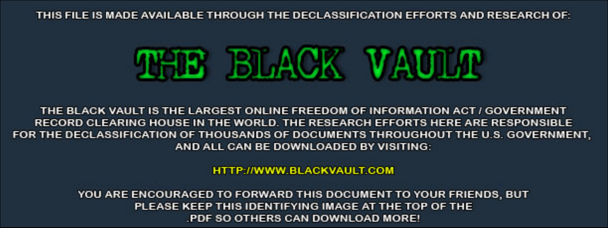THIS FILE IS MADE AVAILABLE THROUGH THE DECLASSIFICATION EFFORTS AND RESEARCH OF:



THE BLACK VAULT IS THE LARGEST ONLINE FREEDOM OF INFORMATION ACT / GOVERNMENT RECORD CLEARING HOUSE IN THE WORLD. THE RESEARCH EFFORTS HERE ARE RESPONSIBLE FOR THE DECLASSIFICATION OF THOUSANDS OF DOCUMENTS THROUGHOUT THE U.S. GOVERNMENT, AND ALL CAN BE DOWNLOADED BY VISITING:

**HTTP://WWW.BLACKVAULT.COM** 

YOU ARE ENCOURAGED TO FORWARD THIS DOCUMENT TO YOUR FRIENDS, BUT PLEASE KEEP THIS IDENTIFYING IMAGE AT THE TOP OF THE PDF SO OTHERS CAN DOWNLOAD MORE!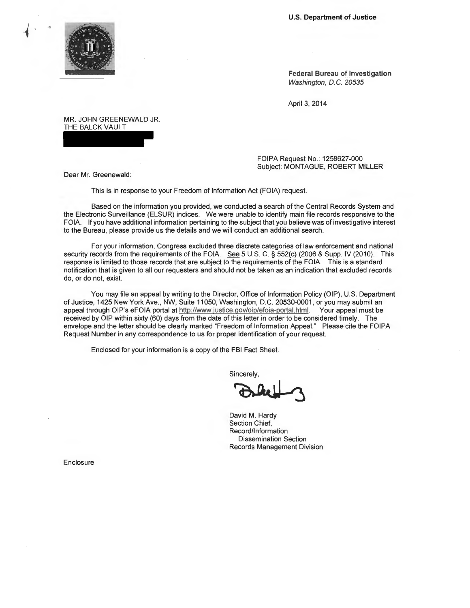**U.S. Department of Justice** 



 $\blacksquare$ 

**Federal Bureau of Investigation** 

Washington, D.C. 20535

April 3, 2014

MR. JOHN GREENEWALD JR. THE BALCK VAULT

> FOIPA Request No.: 1258627-000 Subject: MONTAGUE, ROBERT MILLER

Dear Mr. Greenewald:

This is in response to your Freedom of Information Act (FOIA) request.

Based on the information you provided, we conducted a search of the Central Records System and the Electronic Surveillance (ELSUR) indices. We were unable to identify main file records responsive to the FOIA. If you have additional information pertaining to the subject that you believe was of investigative interest to the Bureau, please provide us the details and we will conduct an additional search.

For your information, Congress excluded three discrete categories of law enforcement and national security records from the requirements of the FOIA. See 5 U.S. C. § 552(c) (2006 & Supp. IV (2010). This response is limited to those records that are subject to the requirements of the FOIA. This is a standard notification that is given to all our requesters and should not be taken as an indication that excluded records do, or do not, exist.

You may file an appeal by writing to the Director, Office of Information Policy (OIP), U.S. Department of Justice, 1425 New York Ave., NW, Suite 11050, Washington, D.C. 20530-0001, or you may submit an appeal through OIP's eFOIA portal at http://www.justice.gov/oip/efoia-portal.html. Your appeal must be received by OIP within sixty (60) days from the date of this letter in order to be considered timely. The envelope and the letter should be clearly marked "Freedom of Information Appeal." Please cite the FOIPA Request Number in any correspondence to us for proper identification of your request.

Enclosed for your information is a copy of the FBI Fact Sheet.

**Sincerely** 

FBI Fact Sheet.<br>incerely,<br>avid M. Hardy

David M. Hardy Section Chief, Record/Information Dissemination Section Records Management Division

Enclosure